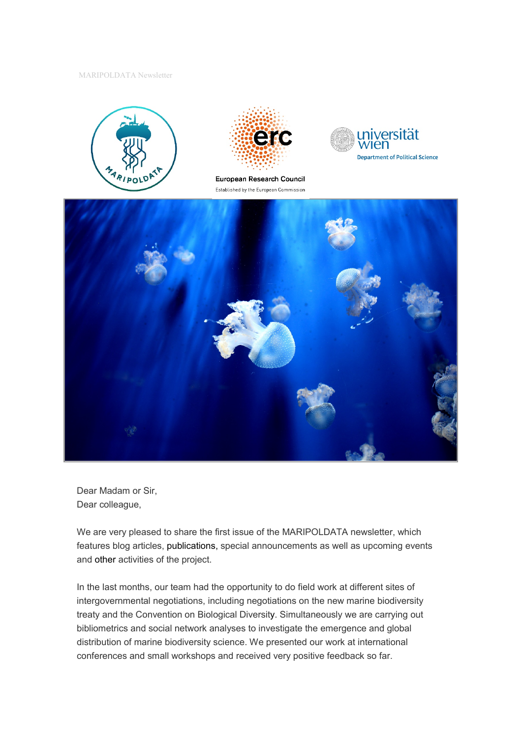MARIPOLDATA Newsletter





European Research Council Established by the European Commission





Dear Madam or Sir, Dear colleague,

We are very pleased to share the first issue of the MARIPOLDATA newsletter, which features blog articles, publications, special announcements as well as upcoming events and other activities of the project.

In the last months, our team had the opportunity to do field work at different sites of intergovernmental negotiations, including negotiations on the new marine biodiversity treaty and the Convention on Biological Diversity. Simultaneously we are carrying out bibliometrics and social network analyses to investigate the emergence and global distribution of marine biodiversity science. We presented our work at international conferences and small workshops and received very positive feedback so far.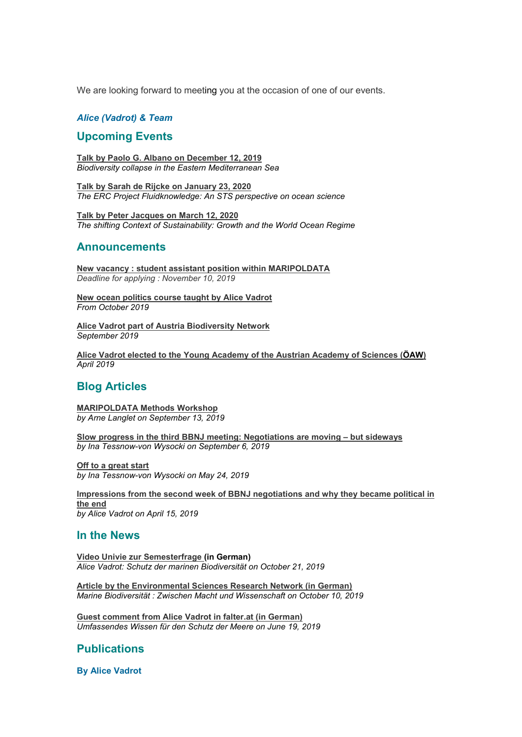We are looking forward to meeting you at the occasion of one of our events.

### *Alice (Vadrot) & Team*

## **Upcoming Events**

**[Talk by Paolo G. Albano on December 12, 2019](https://www.maripoldata.eu/newsevents/#toggle-id-14)** *Biodiversity collapse in the Eastern Mediterranean Sea*

**[Talk by Sarah de Rijcke on January 23, 2020](https://www.maripoldata.eu/newsevents/#toggle-id-15)** *The ERC Project Fluidknowledge: An STS perspective on ocean science*

**[Talk by Peter Jacques on March 12, 2020](https://www.maripoldata.eu/newsevents/#toggle-id-16)** *The shifting Context of Sustainability: Growth and the World Ocean Regime*

#### **Announcements**

**[New vacancy : student assistant position within MARIPOLDATA](https://www.maripoldata.eu/wp-content/uploads/2019/10/Vacancy_Student_Assistant_Position_MARIPOLDATA-1.pdf)** *Deadline for applying : November 10, 2019*

**[New ocean politics course taught by Alice Vadrot](https://ufind.univie.ac.at/en/course.html?lv=210114&semester=2019W)**  *From October 2019*

**[Alice Vadrot part of Austria Biodiversity Network](https://www.biodiversityaustria.at/biodiversitaetsrat-presseaussendung/)**  *September 2019*

**[Alice Vadrot elected to the Young Academy of the Austrian Academy of Sciences \(ÖAW\)](https://www.oeaw.ac.at/en/detail/news/oeaw-waehlte-29-top-forscherinnen-zu-neuen-mitgliedern-1/)** *April 2019*

# **Blog Articles**

**[MARIPOLDATA Methods Workshop](https://www.maripoldata.eu/maripoldata-methods-workshop/)**  *by Arne Langlet on September 13, 2019*

**[Slow progress in the third BBNJ meeting: Negotiations are moving –](https://www.maripoldata.eu/slow-progress-in-the-third-bbnj-meeting-negotiations-are-moving-but-sideways/) but sideways** *by Ina Tessnow-von Wysocki on September 6, 2019*

**[Off to a great start](https://www.maripoldata.eu/off-to-a-great-start/)**  *by Ina Tessnow-von Wysocki on May 24, 2019*

**[Impressions from the second week of BBNJ negotiations and why they became political in](https://www.maripoldata.eu/impressions-from-the-first-week-of-negotiations-on-marine-biodiversity-2/)  [the end](https://www.maripoldata.eu/impressions-from-the-first-week-of-negotiations-on-marine-biodiversity-2/)** *by Alice Vadrot on April 15, 2019*

## **In the News**

**[Video Univie zur Semesterfrage \(](https://medienportal.univie.ac.at/videos/uni-wien-forscht/detailansicht/artikel/alice-vadrot-schutz-der-marinen-biodiversitaet/)in German)**  *Alice Vadrot: Schutz der marinen Biodiversität on October 21, 2019*

**[Article by the Environmental Sciences Research Network \(in German\)](https://umwelt.univie.ac.at/aktivitaeten/newsletter/news-detail/news/marine-biodiversitaet-zwischen-macht-und-wissenschaft/?no_cache=1&tx_news_pi1%5bcontroller%5d=News&tx_news_pi1%5baction%5d=detail&cHash=3b7656c19a28c378b267b8f29766afab)** *Marine Biodiversität : Zwischen Macht und Wissenschaft on October 10, 2019*

**[Guest comment from Alice Vadrot in falter.at \(in German\)](https://www.falter.at/heureka/20190619/umfassendes-wissen-fur-den-schutz-der-meere/b98c55bea0)** *Umfassendes Wissen für den Schutz der Meere on June 19, 2019*

# **Publications**

**By Alice Vadrot**